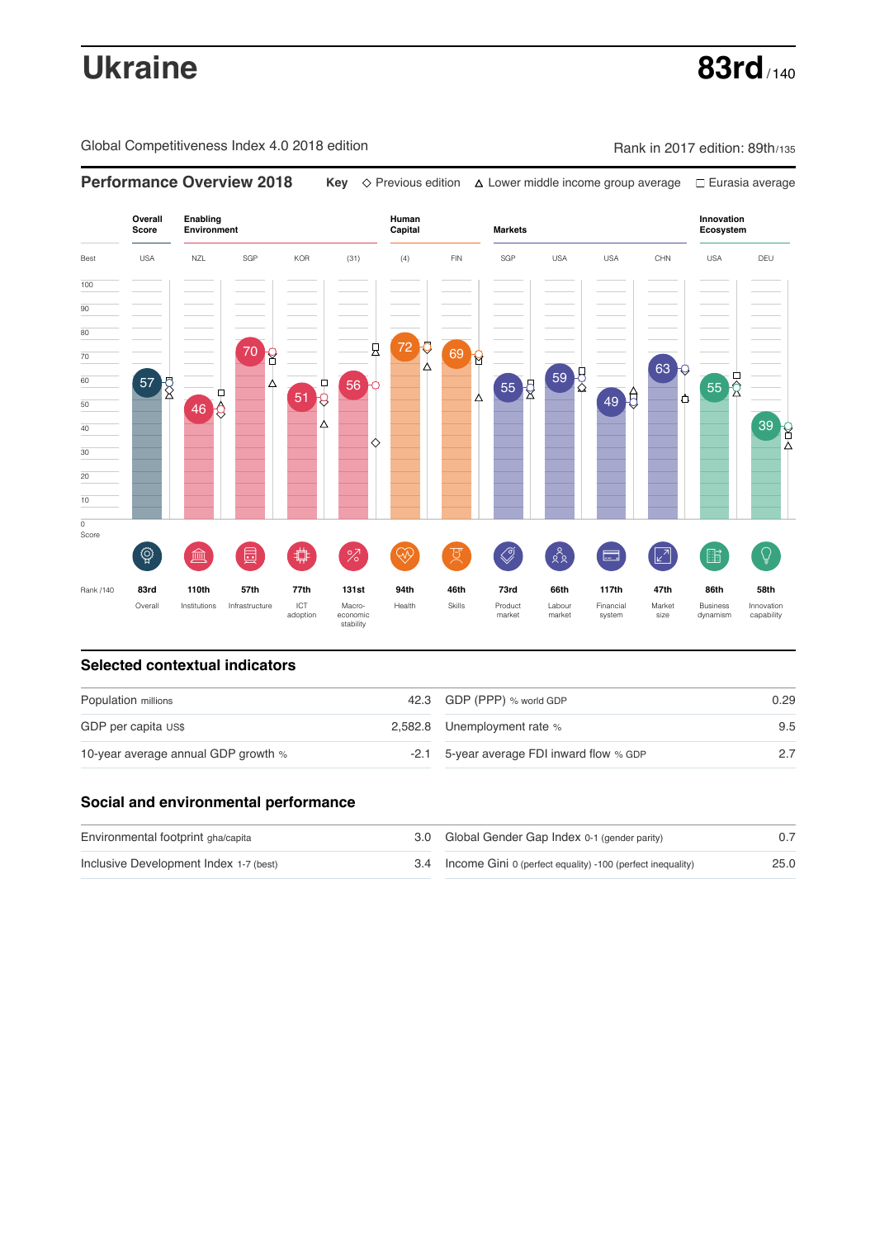# **Ukraine 83rd** / 140

Global Competitiveness Index 4.0 2018 edition Company Rank in 2017 edition: 89th/135



### **Selected contextual indicators**

| Population millions                 | 42.3 GDP (PPP) % world GDP                | 0.29 |  |
|-------------------------------------|-------------------------------------------|------|--|
| GDP per capita US\$                 | 2,582.8 Unemployment rate %               | 9.5  |  |
| 10-year average annual GDP growth % | -2.1 5-year average FDI inward flow % GDP |      |  |

### **Social and environmental performance**

| Environmental footprint gha/capita     | 3.0 Global Gender Gap Index 0-1 (gender parity)                |      |
|----------------------------------------|----------------------------------------------------------------|------|
| Inclusive Development Index 1-7 (best) | 3.4 Income Gini 0 (perfect equality) -100 (perfect inequality) | 25.0 |

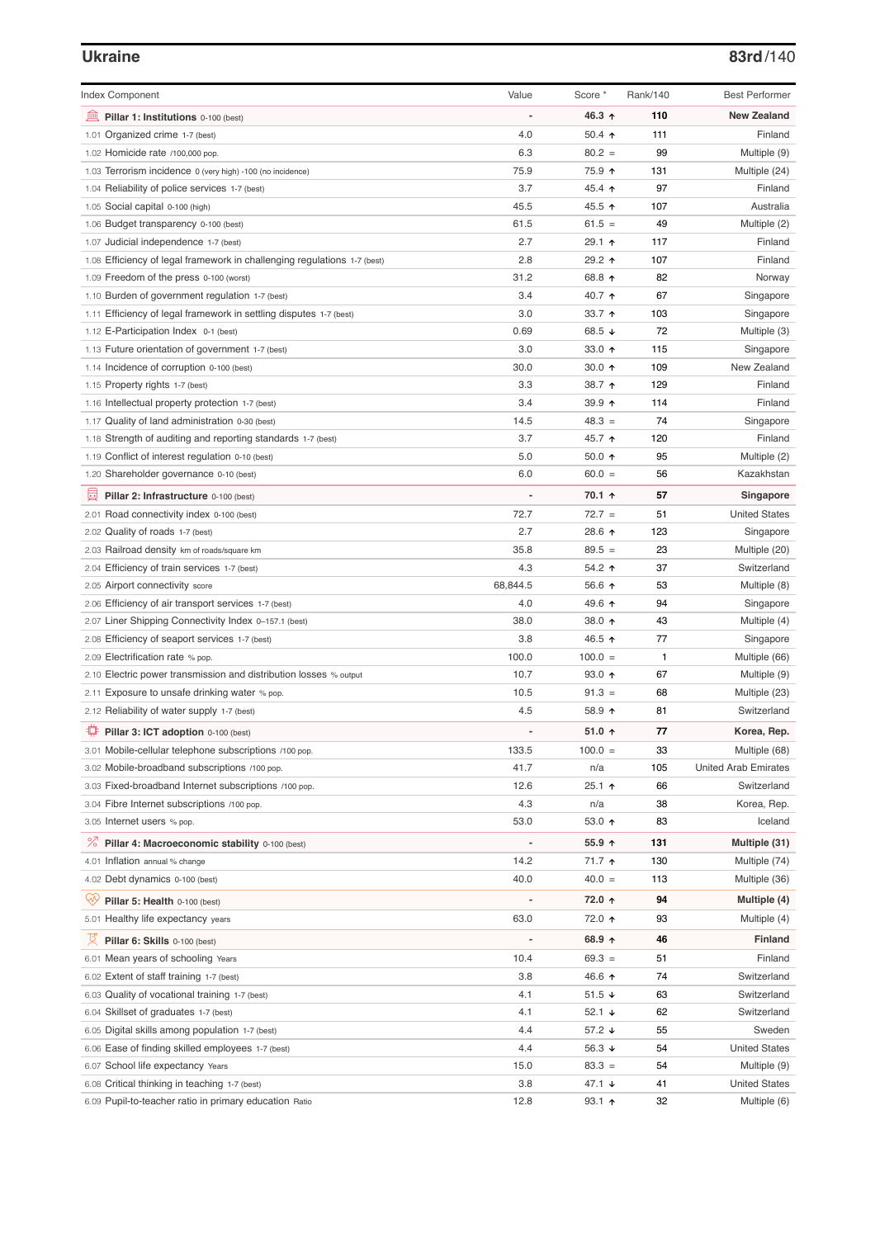## **Ukraine 83rd**/140

| <b>Index Component</b>                                                   | Value          | Score *         | Rank/140     | <b>Best Performer</b>       |
|--------------------------------------------------------------------------|----------------|-----------------|--------------|-----------------------------|
| 皿<br>Pillar 1: Institutions 0-100 (best)                                 |                | 46.3 ↑          | 110          | <b>New Zealand</b>          |
| 1.01 Organized crime 1-7 (best)                                          | 4.0            | 50.4 $\uparrow$ | 111          | Finland                     |
| 1.02 Homicide rate /100,000 pop.                                         | 6.3            | $80.2 =$        | 99           | Multiple (9)                |
| 1.03 Terrorism incidence 0 (very high) -100 (no incidence)               | 75.9           | 75.9 ↑          | 131          | Multiple (24)               |
| 1.04 Reliability of police services 1-7 (best)                           | 3.7            | 45.4 ↑          | 97           | Finland                     |
| 1.05 Social capital 0-100 (high)                                         | 45.5           | 45.5 ↑          | 107          | Australia                   |
| 1.06 Budget transparency 0-100 (best)                                    | 61.5           | $61.5 =$        | 49           | Multiple (2)                |
| 1.07 Judicial independence 1-7 (best)                                    | 2.7            | 29.1 ↑          | 117          | Finland                     |
| 1.08 Efficiency of legal framework in challenging regulations 1-7 (best) | 2.8            | 29.2 ↑          | 107          | Finland                     |
| 1.09 Freedom of the press 0-100 (worst)                                  | 31.2           | 68.8 ↑          | 82           | Norway                      |
| 1.10 Burden of government regulation 1-7 (best)                          | 3.4            | 40.7 ↑          | 67           | Singapore                   |
| 1.11 Efficiency of legal framework in settling disputes 1-7 (best)       | 3.0            | 33.7 $\uparrow$ | 103          | Singapore                   |
| 1.12 E-Participation Index 0-1 (best)                                    | 0.69           | 68.5 ↓          | 72           | Multiple (3)                |
| 1.13 Future orientation of government 1-7 (best)                         | 3.0            | 33.0 个          | 115          | Singapore                   |
| 1.14 Incidence of corruption 0-100 (best)                                | 30.0           | 30.0 $\uparrow$ | 109          | New Zealand                 |
| 1.15 Property rights 1-7 (best)                                          | 3.3            | 38.7 ↑          | 129          | Finland                     |
| 1.16 Intellectual property protection 1-7 (best)                         | 3.4            | 39.9 个          | 114          | Finland                     |
| 1.17 Quality of land administration 0-30 (best)                          | 14.5           | $48.3 =$        | 74           | Singapore                   |
| 1.18 Strength of auditing and reporting standards 1-7 (best)             | 3.7            | 45.7 ↑          | 120          | Finland                     |
| 1.19 Conflict of interest regulation 0-10 (best)                         | 5.0            | 50.0 ↑          | 95           | Multiple (2)                |
| 1.20 Shareholder governance 0-10 (best)                                  | 6.0            | $60.0 =$        | 56           | Kazakhstan                  |
|                                                                          |                |                 |              |                             |
| 圓<br>Pillar 2: Infrastructure 0-100 (best)                               |                | 70.1 ↑          | 57           | Singapore                   |
| 2.01 Road connectivity index 0-100 (best)                                | 72.7           | $72.7 =$        | 51           | <b>United States</b>        |
| 2.02 Quality of roads 1-7 (best)                                         | 2.7            | 28.6 个          | 123          | Singapore                   |
| 2.03 Railroad density km of roads/square km                              | 35.8           | $89.5 =$        | 23           | Multiple (20)               |
| 2.04 Efficiency of train services 1-7 (best)                             | 4.3            | 54.2 ↑          | 37           | Switzerland                 |
| 2.05 Airport connectivity score                                          | 68,844.5       | 56.6 ↑          | 53           | Multiple (8)                |
| 2.06 Efficiency of air transport services 1-7 (best)                     | 4.0            | 49.6 ↑          | 94           | Singapore                   |
| 2.07 Liner Shipping Connectivity Index 0-157.1 (best)                    | 38.0           | 38.0 ↑          | 43           | Multiple (4)                |
| 2.08 Efficiency of seaport services 1-7 (best)                           | 3.8            | 46.5 ↑          | 77           | Singapore                   |
| 2.09 Electrification rate % pop.                                         | 100.0          | $100.0 =$       | $\mathbf{1}$ | Multiple (66)               |
| 2.10 Electric power transmission and distribution losses % output        | 10.7           | $93.0$ ↑        | 67           | Multiple (9)                |
| 2.11 Exposure to unsafe drinking water % pop.                            | 10.5           | $91.3 =$        | 68           | Multiple (23)               |
| 2.12 Reliability of water supply 1-7 (best)                              | 4.5            | 58.9 ↑          | 81           | Switzerland                 |
| ₽<br>Pillar 3: ICT adoption 0-100 (best)                                 |                | 51.0 $\uparrow$ | 77           | Korea, Rep.                 |
| 3.01 Mobile-cellular telephone subscriptions /100 pop.                   | 133.5          | $100.0 =$       | 33           | Multiple (68)               |
| 3.02 Mobile-broadband subscriptions /100 pop.                            | 41.7           | n/a             | 105          | <b>United Arab Emirates</b> |
| 3.03 Fixed-broadband Internet subscriptions /100 pop.                    | 12.6           | $25.1$ 1        | 66           | Switzerland                 |
| 3.04 Fibre Internet subscriptions /100 pop.                              | 4.3            | n/a             | 38           | Korea, Rep.                 |
| 3.05 Internet users % pop.                                               | 53.0           | 53.0 ↑          | 83           | Iceland                     |
| <sup>%</sup> Pillar 4: Macroeconomic stability 0-100 (best)              | $\overline{a}$ | 55.9 ↑          | 131          | Multiple (31)               |
| 4.01 Inflation annual % change                                           | 14.2           | 71.7 ተ          | 130          | Multiple (74)               |
| 4.02 Debt dynamics 0-100 (best)                                          | 40.0           | $40.0 =$        | 113          | Multiple (36)               |
|                                                                          |                |                 |              |                             |
| Qiy<br>Pillar 5: Health 0-100 (best)                                     |                | 72.0 ↑          | 94           | Multiple (4)                |
| 5.01 Healthy life expectancy years                                       | 63.0           | 72.0 ↑          | 93           | Multiple (4)                |
| 성<br>Pillar 6: Skills 0-100 (best)                                       |                | 68.9 $\uparrow$ | 46           | <b>Finland</b>              |
| 6.01 Mean years of schooling Years                                       | 10.4           | $69.3 =$        | 51           | Finland                     |
| 6.02 Extent of staff training 1-7 (best)                                 | 3.8            | 46.6 ↑          | 74           | Switzerland                 |
| 6.03 Quality of vocational training 1-7 (best)                           | 4.1            | 51.5 ↓          | 63           | Switzerland                 |
| 6.04 Skillset of graduates 1-7 (best)                                    | 4.1            | 52.1 ↓          | 62           | Switzerland                 |
| 6.05 Digital skills among population 1-7 (best)                          | 4.4            | 57.2 ↓          | 55           | Sweden                      |
| 6.06 Ease of finding skilled employees 1-7 (best)                        | 4.4            | 56.3 ↓          | 54           | <b>United States</b>        |
| 6.07 School life expectancy Years                                        | 15.0           | $83.3 =$        | 54           | Multiple (9)                |
| 6.08 Critical thinking in teaching 1-7 (best)                            | 3.8            | 47.1 $\sqrt{ }$ | 41           | <b>United States</b>        |
| 6.09 Pupil-to-teacher ratio in primary education Ratio                   | 12.8           | $93.1$ 1        | 32           | Multiple (6)                |